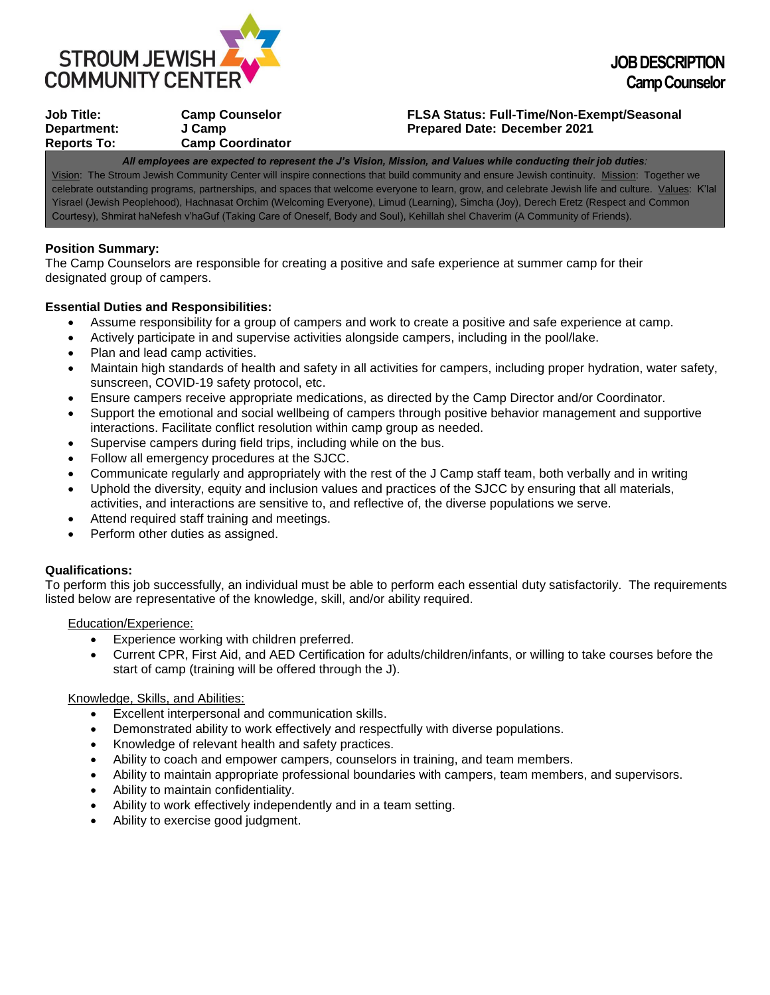

| Job Title:  | <b>Camp Counselor</b>   |
|-------------|-------------------------|
| Department: | J Camp                  |
| Reports To: | <b>Camp Coordinator</b> |
|             |                         |

### **Job Title: Camp Counselor FLSA Status: Full-Time/Non-Exempt/Seasonal Prepared Date: December 2021**

*All employees are expected to represent the J's Vision, Mission, and Values while conducting their job duties:* Vision: The Stroum Jewish Community Center will inspire connections that build community and ensure Jewish continuity. Mission: Together we celebrate outstanding programs, partnerships, and spaces that welcome everyone to learn, grow, and celebrate Jewish life and culture. Values: K'lal Yisrael (Jewish Peoplehood), Hachnasat Orchim (Welcoming Everyone), Limud (Learning), Simcha (Joy), Derech Eretz (Respect and Common Courtesy), Shmirat haNefesh v'haGuf (Taking Care of Oneself, Body and Soul), Kehillah shel Chaverim (A Community of Friends).

## **Position Summary:**

The Camp Counselors are responsible for creating a positive and safe experience at summer camp for their designated group of campers.

# **Essential Duties and Responsibilities:**

- Assume responsibility for a group of campers and work to create a positive and safe experience at camp.
- Actively participate in and supervise activities alongside campers, including in the pool/lake.
- Plan and lead camp activities.
- Maintain high standards of health and safety in all activities for campers, including proper hydration, water safety, sunscreen, COVID-19 safety protocol, etc.
- Ensure campers receive appropriate medications, as directed by the Camp Director and/or Coordinator.
- Support the emotional and social wellbeing of campers through positive behavior management and supportive interactions. Facilitate conflict resolution within camp group as needed.
- Supervise campers during field trips, including while on the bus.
- Follow all emergency procedures at the SJCC.
- Communicate regularly and appropriately with the rest of the J Camp staff team, both verbally and in writing
- Uphold the diversity, equity and inclusion values and practices of the SJCC by ensuring that all materials, activities, and interactions are sensitive to, and reflective of, the diverse populations we serve.
- Attend required staff training and meetings.
- Perform other duties as assigned.

## **Qualifications:**

To perform this job successfully, an individual must be able to perform each essential duty satisfactorily. The requirements listed below are representative of the knowledge, skill, and/or ability required.

Education/Experience:

- Experience working with children preferred.
- Current CPR, First Aid, and AED Certification for adults/children/infants, or willing to take courses before the start of camp (training will be offered through the J).

#### Knowledge, Skills, and Abilities:

- Excellent interpersonal and communication skills.
- Demonstrated ability to work effectively and respectfully with diverse populations.
- Knowledge of relevant health and safety practices.
- Ability to coach and empower campers, counselors in training, and team members.
- Ability to maintain appropriate professional boundaries with campers, team members, and supervisors.
- Ability to maintain confidentiality.
- Ability to work effectively independently and in a team setting.
- Ability to exercise good judgment.